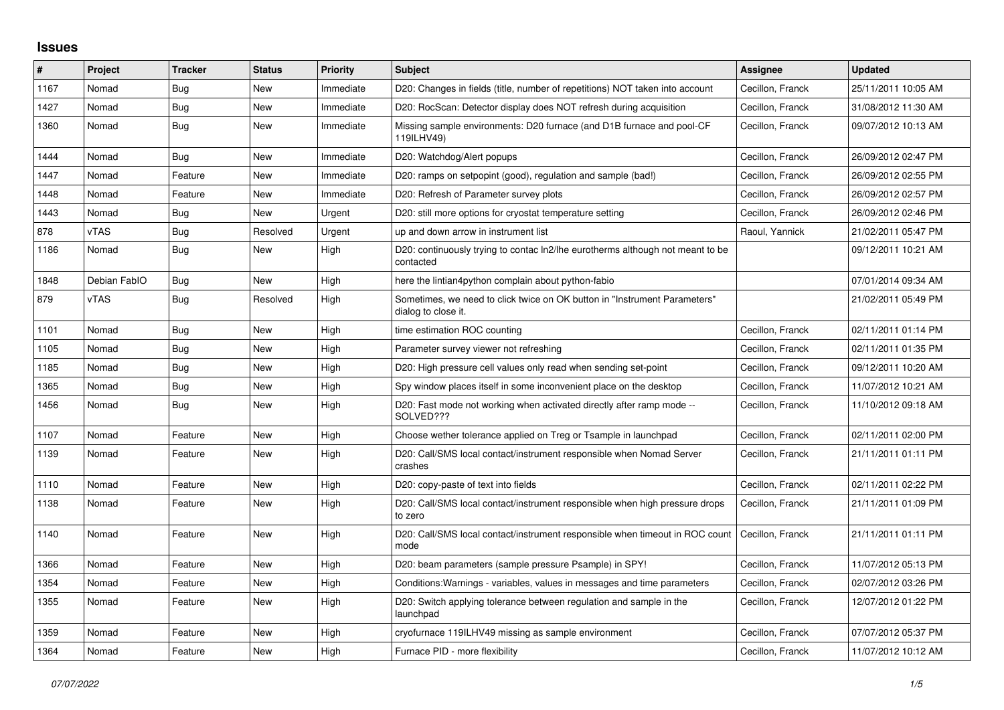## **Issues**

| #    | Project      | <b>Tracker</b> | <b>Status</b> | <b>Priority</b> | <b>Subject</b>                                                                                   | Assignee         | <b>Updated</b>      |
|------|--------------|----------------|---------------|-----------------|--------------------------------------------------------------------------------------------------|------------------|---------------------|
| 1167 | Nomad        | Bug            | <b>New</b>    | Immediate       | D20: Changes in fields (title, number of repetitions) NOT taken into account                     | Cecillon, Franck | 25/11/2011 10:05 AM |
| 1427 | Nomad        | <b>Bug</b>     | <b>New</b>    | Immediate       | D20: RocScan: Detector display does NOT refresh during acquisition                               | Cecillon, Franck | 31/08/2012 11:30 AM |
| 1360 | Nomad        | Bug            | New           | Immediate       | Missing sample environments: D20 furnace (and D1B furnace and pool-CF<br>119ILHV49)              | Cecillon, Franck | 09/07/2012 10:13 AM |
| 1444 | Nomad        | Bug            | <b>New</b>    | Immediate       | D20: Watchdog/Alert popups                                                                       | Cecillon, Franck | 26/09/2012 02:47 PM |
| 1447 | Nomad        | Feature        | <b>New</b>    | Immediate       | D20: ramps on setpopint (good), regulation and sample (bad!)                                     | Cecillon, Franck | 26/09/2012 02:55 PM |
| 1448 | Nomad        | Feature        | New           | Immediate       | D20: Refresh of Parameter survey plots                                                           | Cecillon, Franck | 26/09/2012 02:57 PM |
| 1443 | Nomad        | <b>Bug</b>     | New           | Urgent          | D20: still more options for cryostat temperature setting                                         | Cecillon, Franck | 26/09/2012 02:46 PM |
| 878  | vTAS         | <b>Bug</b>     | Resolved      | Urgent          | up and down arrow in instrument list                                                             | Raoul, Yannick   | 21/02/2011 05:47 PM |
| 1186 | Nomad        | <b>Bug</b>     | New           | High            | D20: continuously trying to contac ln2/lhe eurotherms although not meant to be<br>contacted      |                  | 09/12/2011 10:21 AM |
| 1848 | Debian FablO | Bug            | <b>New</b>    | High            | here the lintian4python complain about python-fabio                                              |                  | 07/01/2014 09:34 AM |
| 879  | vTAS         | Bug            | Resolved      | High            | Sometimes, we need to click twice on OK button in "Instrument Parameters"<br>dialog to close it. |                  | 21/02/2011 05:49 PM |
| 1101 | Nomad        | <b>Bug</b>     | <b>New</b>    | High            | time estimation ROC counting                                                                     | Cecillon, Franck | 02/11/2011 01:14 PM |
| 1105 | Nomad        | <b>Bug</b>     | New           | High            | Parameter survey viewer not refreshing                                                           | Cecillon, Franck | 02/11/2011 01:35 PM |
| 1185 | Nomad        | <b>Bug</b>     | <b>New</b>    | High            | D20: High pressure cell values only read when sending set-point                                  | Cecillon, Franck | 09/12/2011 10:20 AM |
| 1365 | Nomad        | Bug            | <b>New</b>    | High            | Spy window places itself in some inconvenient place on the desktop                               | Cecillon, Franck | 11/07/2012 10:21 AM |
| 1456 | Nomad        | Bug            | New           | High            | D20: Fast mode not working when activated directly after ramp mode --<br>SOLVED???               | Cecillon, Franck | 11/10/2012 09:18 AM |
| 1107 | Nomad        | Feature        | <b>New</b>    | High            | Choose wether tolerance applied on Treg or Tsample in launchpad                                  | Cecillon, Franck | 02/11/2011 02:00 PM |
| 1139 | Nomad        | Feature        | New           | High            | D20: Call/SMS local contact/instrument responsible when Nomad Server<br>crashes                  | Cecillon, Franck | 21/11/2011 01:11 PM |
| 1110 | Nomad        | Feature        | New           | High            | D20: copy-paste of text into fields                                                              | Cecillon, Franck | 02/11/2011 02:22 PM |
| 1138 | Nomad        | Feature        | New           | High            | D20: Call/SMS local contact/instrument responsible when high pressure drops<br>to zero           | Cecillon, Franck | 21/11/2011 01:09 PM |
| 1140 | Nomad        | Feature        | New           | High            | D20: Call/SMS local contact/instrument responsible when timeout in ROC count<br>mode             | Cecillon, Franck | 21/11/2011 01:11 PM |
| 1366 | Nomad        | Feature        | New           | High            | D20: beam parameters (sample pressure Psample) in SPY!                                           | Cecillon, Franck | 11/07/2012 05:13 PM |
| 1354 | Nomad        | Feature        | <b>New</b>    | High            | Conditions: Warnings - variables, values in messages and time parameters                         | Cecillon, Franck | 02/07/2012 03:26 PM |
| 1355 | Nomad        | Feature        | <b>New</b>    | High            | D20: Switch applying tolerance between regulation and sample in the<br>launchpad                 | Cecillon, Franck | 12/07/2012 01:22 PM |
| 1359 | Nomad        | Feature        | New           | High            | cryofurnace 119ILHV49 missing as sample environment                                              | Cecillon, Franck | 07/07/2012 05:37 PM |
| 1364 | Nomad        | Feature        | New           | High            | Furnace PID - more flexibility                                                                   | Cecillon, Franck | 11/07/2012 10:12 AM |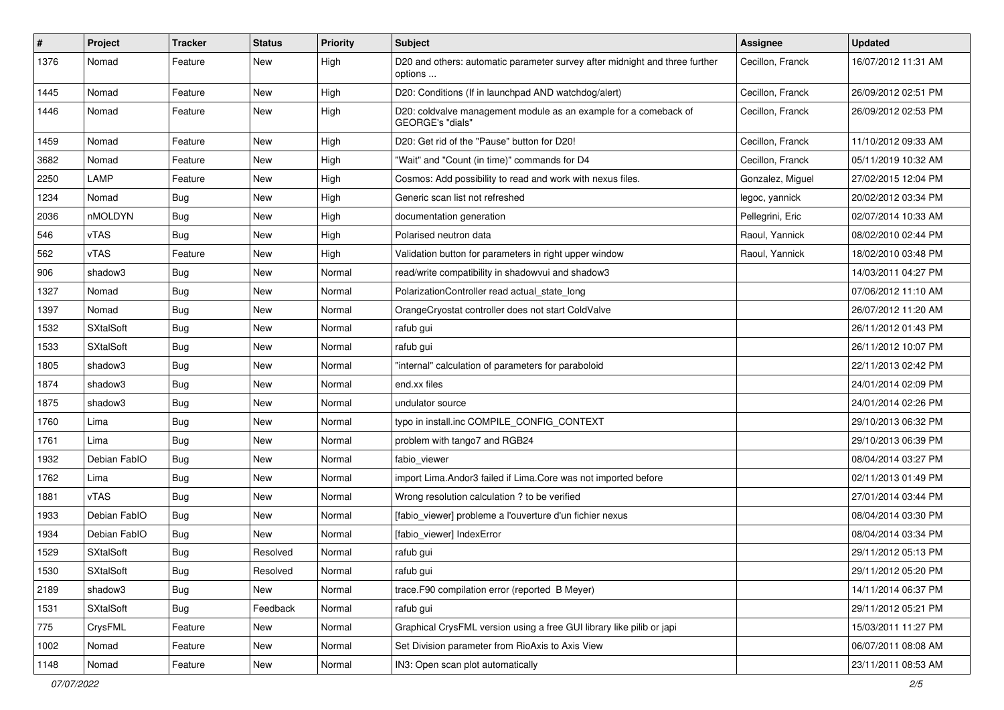| $\#$ | Project          | <b>Tracker</b> | <b>Status</b> | <b>Priority</b> | Subject                                                                                | Assignee         | <b>Updated</b>      |
|------|------------------|----------------|---------------|-----------------|----------------------------------------------------------------------------------------|------------------|---------------------|
| 1376 | Nomad            | Feature        | New           | High            | D20 and others: automatic parameter survey after midnight and three further<br>options | Cecillon, Franck | 16/07/2012 11:31 AM |
| 1445 | Nomad            | Feature        | New           | High            | D20: Conditions (If in launchpad AND watchdog/alert)                                   | Cecillon, Franck | 26/09/2012 02:51 PM |
| 1446 | Nomad            | Feature        | New           | High            | D20: coldvalve management module as an example for a comeback of<br>GEORGE's "dials"   | Cecillon, Franck | 26/09/2012 02:53 PM |
| 1459 | Nomad            | Feature        | New           | High            | D20: Get rid of the "Pause" button for D20!                                            | Cecillon, Franck | 11/10/2012 09:33 AM |
| 3682 | Nomad            | Feature        | New           | High            | "Wait" and "Count (in time)" commands for D4                                           | Cecillon, Franck | 05/11/2019 10:32 AM |
| 2250 | LAMP             | Feature        | New           | High            | Cosmos: Add possibility to read and work with nexus files.                             | Gonzalez, Miguel | 27/02/2015 12:04 PM |
| 1234 | Nomad            | Bug            | New           | High            | Generic scan list not refreshed                                                        | legoc, yannick   | 20/02/2012 03:34 PM |
| 2036 | nMOLDYN          | <b>Bug</b>     | New           | High            | documentation generation                                                               | Pellegrini, Eric | 02/07/2014 10:33 AM |
| 546  | vTAS             | Bug            | New           | High            | Polarised neutron data                                                                 | Raoul, Yannick   | 08/02/2010 02:44 PM |
| 562  | <b>vTAS</b>      | Feature        | New           | High            | Validation button for parameters in right upper window                                 | Raoul, Yannick   | 18/02/2010 03:48 PM |
| 906  | shadow3          | <b>Bug</b>     | New           | Normal          | read/write compatibility in shadowvui and shadow3                                      |                  | 14/03/2011 04:27 PM |
| 1327 | Nomad            | Bug            | New           | Normal          | PolarizationController read actual state long                                          |                  | 07/06/2012 11:10 AM |
| 1397 | Nomad            | <b>Bug</b>     | New           | Normal          | OrangeCryostat controller does not start ColdValve                                     |                  | 26/07/2012 11:20 AM |
| 1532 | <b>SXtalSoft</b> | Bug            | New           | Normal          | rafub gui                                                                              |                  | 26/11/2012 01:43 PM |
| 1533 | <b>SXtalSoft</b> | <b>Bug</b>     | New           | Normal          | rafub gui                                                                              |                  | 26/11/2012 10:07 PM |
| 1805 | shadow3          | <b>Bug</b>     | New           | Normal          | "internal" calculation of parameters for paraboloid                                    |                  | 22/11/2013 02:42 PM |
| 1874 | shadow3          | <b>Bug</b>     | New           | Normal          | end.xx files                                                                           |                  | 24/01/2014 02:09 PM |
| 1875 | shadow3          | <b>Bug</b>     | New           | Normal          | undulator source                                                                       |                  | 24/01/2014 02:26 PM |
| 1760 | Lima             | <b>Bug</b>     | New           | Normal          | typo in install.inc COMPILE CONFIG CONTEXT                                             |                  | 29/10/2013 06:32 PM |
| 1761 | Lima             | Bug            | New           | Normal          | problem with tango7 and RGB24                                                          |                  | 29/10/2013 06:39 PM |
| 1932 | Debian FablO     | <b>Bug</b>     | New           | Normal          | fabio viewer                                                                           |                  | 08/04/2014 03:27 PM |
| 1762 | Lima             | <b>Bug</b>     | New           | Normal          | import Lima. Andor3 failed if Lima. Core was not imported before                       |                  | 02/11/2013 01:49 PM |
| 1881 | <b>vTAS</b>      | <b>Bug</b>     | New           | Normal          | Wrong resolution calculation ? to be verified                                          |                  | 27/01/2014 03:44 PM |
| 1933 | Debian FablO     | Bug            | New           | Normal          | [fabio_viewer] probleme a l'ouverture d'un fichier nexus                               |                  | 08/04/2014 03:30 PM |
| 1934 | Debian FablO     | Bug            | New           | Normal          | [fabio_viewer] IndexError                                                              |                  | 08/04/2014 03:34 PM |
| 1529 | <b>SXtalSoft</b> | <b>Bug</b>     | Resolved      | Normal          | rafub gui                                                                              |                  | 29/11/2012 05:13 PM |
| 1530 | <b>SXtalSoft</b> | <b>Bug</b>     | Resolved      | Normal          | rafub gui                                                                              |                  | 29/11/2012 05:20 PM |
| 2189 | shadow3          | <b>Bug</b>     | New           | Normal          | trace.F90 compilation error (reported B Meyer)                                         |                  | 14/11/2014 06:37 PM |
| 1531 | <b>SXtalSoft</b> | <b>Bug</b>     | Feedback      | Normal          | rafub gui                                                                              |                  | 29/11/2012 05:21 PM |
| 775  | CrysFML          | Feature        | New           | Normal          | Graphical CrysFML version using a free GUI library like pilib or japi                  |                  | 15/03/2011 11:27 PM |
| 1002 | Nomad            | Feature        | New           | Normal          | Set Division parameter from RioAxis to Axis View                                       |                  | 06/07/2011 08:08 AM |
| 1148 | Nomad            | Feature        | New           | Normal          | IN3: Open scan plot automatically                                                      |                  | 23/11/2011 08:53 AM |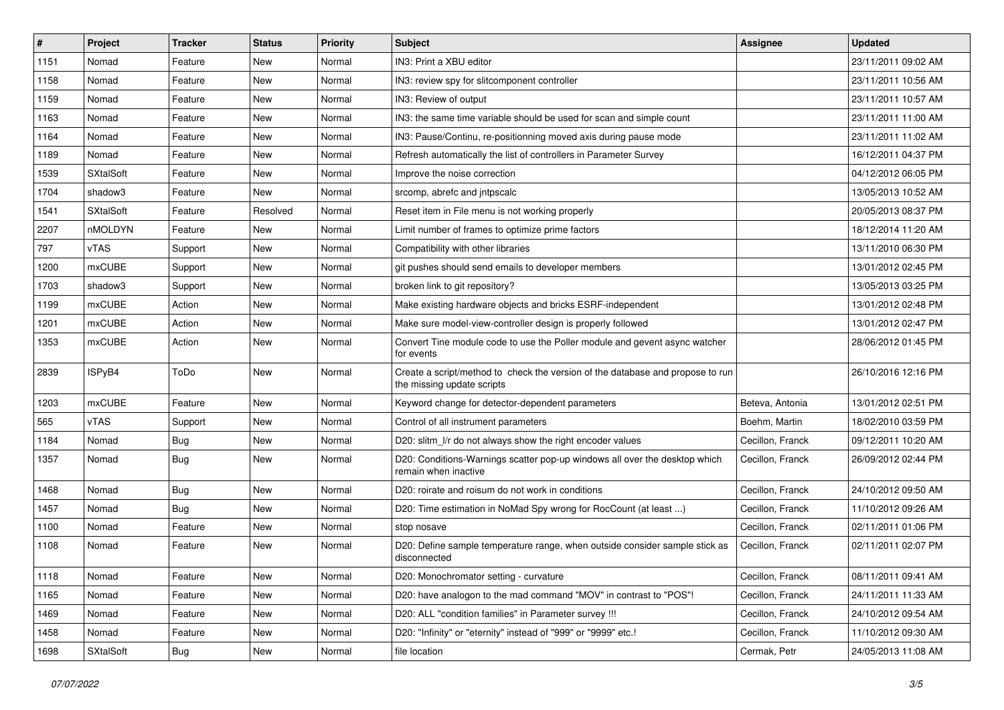| #    | Project          | <b>Tracker</b> | <b>Status</b> | <b>Priority</b> | <b>Subject</b>                                                                                               | <b>Assignee</b>  | <b>Updated</b>      |
|------|------------------|----------------|---------------|-----------------|--------------------------------------------------------------------------------------------------------------|------------------|---------------------|
| 1151 | Nomad            | Feature        | New           | Normal          | IN3: Print a XBU editor                                                                                      |                  | 23/11/2011 09:02 AM |
| 1158 | Nomad            | Feature        | New           | Normal          | IN3: review spy for slitcomponent controller                                                                 |                  | 23/11/2011 10:56 AM |
| 1159 | Nomad            | Feature        | New           | Normal          | IN3: Review of output                                                                                        |                  | 23/11/2011 10:57 AM |
| 1163 | Nomad            | Feature        | New           | Normal          | IN3: the same time variable should be used for scan and simple count                                         |                  | 23/11/2011 11:00 AM |
| 1164 | Nomad            | Feature        | New           | Normal          | IN3: Pause/Continu, re-positionning moved axis during pause mode                                             |                  | 23/11/2011 11:02 AM |
| 1189 | Nomad            | Feature        | New           | Normal          | Refresh automatically the list of controllers in Parameter Survey                                            |                  | 16/12/2011 04:37 PM |
| 1539 | <b>SXtalSoft</b> | Feature        | New           | Normal          | Improve the noise correction                                                                                 |                  | 04/12/2012 06:05 PM |
| 1704 | shadow3          | Feature        | New           | Normal          | srcomp, abrefc and intpscalc                                                                                 |                  | 13/05/2013 10:52 AM |
| 1541 | <b>SXtalSoft</b> | Feature        | Resolved      | Normal          | Reset item in File menu is not working properly                                                              |                  | 20/05/2013 08:37 PM |
| 2207 | nMOLDYN          | Feature        | New           | Normal          | Limit number of frames to optimize prime factors                                                             |                  | 18/12/2014 11:20 AM |
| 797  | vTAS             | Support        | New           | Normal          | Compatibility with other libraries                                                                           |                  | 13/11/2010 06:30 PM |
| 1200 | <b>mxCUBE</b>    | Support        | New           | Normal          | git pushes should send emails to developer members                                                           |                  | 13/01/2012 02:45 PM |
| 1703 | shadow3          | Support        | New           | Normal          | broken link to git repository?                                                                               |                  | 13/05/2013 03:25 PM |
| 1199 | <b>mxCUBE</b>    | Action         | New           | Normal          | Make existing hardware objects and bricks ESRF-independent                                                   |                  | 13/01/2012 02:48 PM |
| 1201 | mxCUBE           | Action         | New           | Normal          | Make sure model-view-controller design is properly followed                                                  |                  | 13/01/2012 02:47 PM |
| 1353 | mxCUBE           | Action         | New           | Normal          | Convert Tine module code to use the Poller module and gevent async watcher<br>for events                     |                  | 28/06/2012 01:45 PM |
| 2839 | ISPyB4           | ToDo           | <b>New</b>    | Normal          | Create a script/method to check the version of the database and propose to run<br>the missing update scripts |                  | 26/10/2016 12:16 PM |
| 1203 | mxCUBE           | Feature        | New           | Normal          | Keyword change for detector-dependent parameters                                                             | Beteva, Antonia  | 13/01/2012 02:51 PM |
| 565  | vTAS             | Support        | New           | Normal          | Control of all instrument parameters                                                                         | Boehm, Martin    | 18/02/2010 03:59 PM |
| 1184 | Nomad            | Bug            | New           | Normal          | D20: slitm_l/r do not always show the right encoder values                                                   | Cecillon, Franck | 09/12/2011 10:20 AM |
| 1357 | Nomad            | <b>Bug</b>     | New           | Normal          | D20: Conditions-Warnings scatter pop-up windows all over the desktop which<br>remain when inactive           | Cecillon, Franck | 26/09/2012 02:44 PM |
| 1468 | Nomad            | <b>Bug</b>     | New           | Normal          | D20: roirate and roisum do not work in conditions                                                            | Cecillon, Franck | 24/10/2012 09:50 AM |
| 1457 | Nomad            | <b>Bug</b>     | New           | Normal          | D20: Time estimation in NoMad Spy wrong for RocCount (at least )                                             | Cecillon, Franck | 11/10/2012 09:26 AM |
| 1100 | Nomad            | Feature        | New           | Normal          | stop nosave                                                                                                  | Cecillon, Franck | 02/11/2011 01:06 PM |
| 1108 | Nomad            | Feature        | New           | Normal          | D20: Define sample temperature range, when outside consider sample stick as<br>disconnected                  | Cecillon, Franck | 02/11/2011 02:07 PM |
| 1118 | Nomad            | Feature        | New           | Normal          | D20: Monochromator setting - curvature                                                                       | Cecillon, Franck | 08/11/2011 09:41 AM |
| 1165 | Nomad            | Feature        | New           | Normal          | D20: have analogon to the mad command "MOV" in contrast to "POS"!                                            | Cecillon, Franck | 24/11/2011 11:33 AM |
| 1469 | Nomad            | Feature        | New           | Normal          | D20: ALL "condition families" in Parameter survey !!!                                                        | Cecillon, Franck | 24/10/2012 09:54 AM |
| 1458 | Nomad            | Feature        | New           | Normal          | D20: "Infinity" or "eternity" instead of "999" or "9999" etc.!                                               | Cecillon, Franck | 11/10/2012 09:30 AM |
| 1698 | <b>SXtalSoft</b> | Bug            | New           | Normal          | file location                                                                                                | Cermak, Petr     | 24/05/2013 11:08 AM |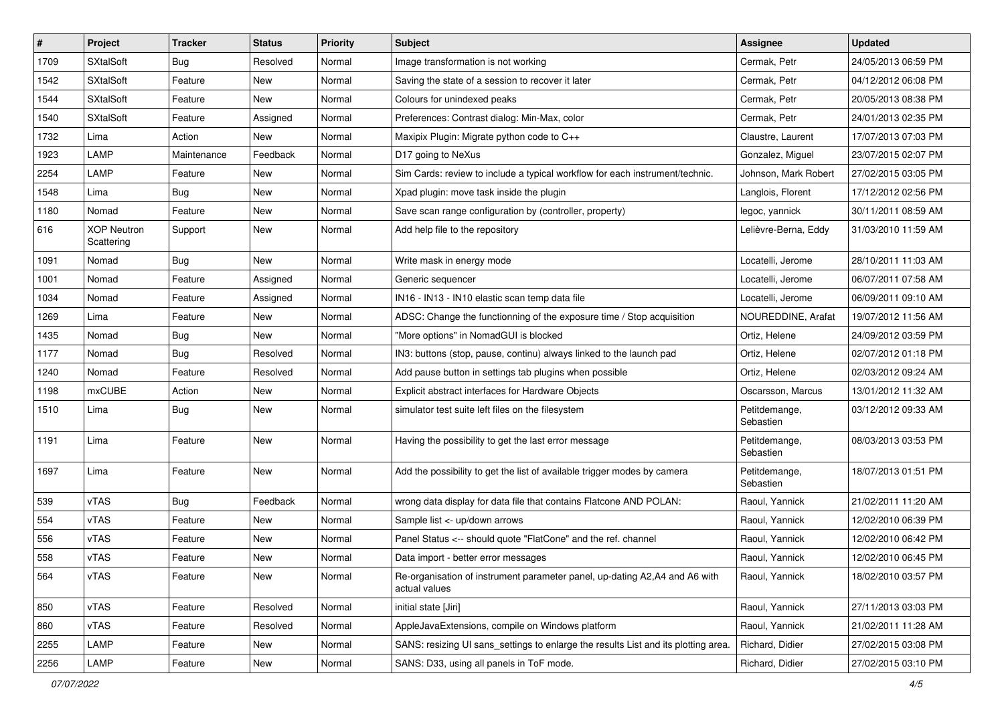| $\vert$ # | Project                          | <b>Tracker</b> | <b>Status</b> | <b>Priority</b> | <b>Subject</b>                                                                               | <b>Assignee</b>            | <b>Updated</b>      |
|-----------|----------------------------------|----------------|---------------|-----------------|----------------------------------------------------------------------------------------------|----------------------------|---------------------|
| 1709      | <b>SXtalSoft</b>                 | Bug            | Resolved      | Normal          | Image transformation is not working                                                          | Cermak, Petr               | 24/05/2013 06:59 PM |
| 1542      | <b>SXtalSoft</b>                 | Feature        | New           | Normal          | Saving the state of a session to recover it later                                            | Cermak, Petr               | 04/12/2012 06:08 PM |
| 1544      | <b>SXtalSoft</b>                 | Feature        | New           | Normal          | Colours for unindexed peaks                                                                  | Cermak, Petr               | 20/05/2013 08:38 PM |
| 1540      | <b>SXtalSoft</b>                 | Feature        | Assigned      | Normal          | Preferences: Contrast dialog: Min-Max, color                                                 | Cermak, Petr               | 24/01/2013 02:35 PM |
| 1732      | Lima                             | Action         | <b>New</b>    | Normal          | Maxipix Plugin: Migrate python code to C++                                                   | Claustre, Laurent          | 17/07/2013 07:03 PM |
| 1923      | LAMP                             | Maintenance    | Feedback      | Normal          | D17 going to NeXus                                                                           | Gonzalez, Miguel           | 23/07/2015 02:07 PM |
| 2254      | LAMP                             | Feature        | New           | Normal          | Sim Cards: review to include a typical workflow for each instrument/technic.                 | Johnson, Mark Robert       | 27/02/2015 03:05 PM |
| 1548      | Lima                             | Bug            | New           | Normal          | Xpad plugin: move task inside the plugin                                                     | Langlois, Florent          | 17/12/2012 02:56 PM |
| 1180      | Nomad                            | Feature        | New           | Normal          | Save scan range configuration by (controller, property)                                      | legoc, yannick             | 30/11/2011 08:59 AM |
| 616       | <b>XOP Neutron</b><br>Scattering | Support        | New           | Normal          | Add help file to the repository                                                              | Lelièvre-Berna, Eddy       | 31/03/2010 11:59 AM |
| 1091      | Nomad                            | Bug            | New           | Normal          | Write mask in energy mode                                                                    | Locatelli, Jerome          | 28/10/2011 11:03 AM |
| 1001      | Nomad                            | Feature        | Assigned      | Normal          | Generic sequencer                                                                            | Locatelli, Jerome          | 06/07/2011 07:58 AM |
| 1034      | Nomad                            | Feature        | Assigned      | Normal          | IN16 - IN13 - IN10 elastic scan temp data file                                               | Locatelli, Jerome          | 06/09/2011 09:10 AM |
| 1269      | Lima                             | Feature        | New           | Normal          | ADSC: Change the functionning of the exposure time / Stop acquisition                        | NOUREDDINE, Arafat         | 19/07/2012 11:56 AM |
| 1435      | Nomad                            | Bug            | New           | Normal          | "More options" in NomadGUI is blocked                                                        | Ortiz, Helene              | 24/09/2012 03:59 PM |
| 1177      | Nomad                            | Bug            | Resolved      | Normal          | IN3: buttons (stop, pause, continu) always linked to the launch pad                          | Ortiz, Helene              | 02/07/2012 01:18 PM |
| 1240      | Nomad                            | Feature        | Resolved      | Normal          | Add pause button in settings tab plugins when possible                                       | Ortiz, Helene              | 02/03/2012 09:24 AM |
| 1198      | <b>mxCUBE</b>                    | Action         | New           | Normal          | Explicit abstract interfaces for Hardware Objects                                            | Oscarsson, Marcus          | 13/01/2012 11:32 AM |
| 1510      | Lima                             | <b>Bug</b>     | New           | Normal          | simulator test suite left files on the filesystem                                            | Petitdemange,<br>Sebastien | 03/12/2012 09:33 AM |
| 1191      | Lima                             | Feature        | New           | Normal          | Having the possibility to get the last error message                                         | Petitdemange,<br>Sebastien | 08/03/2013 03:53 PM |
| 1697      | Lima                             | Feature        | New           | Normal          | Add the possibility to get the list of available trigger modes by camera                     | Petitdemange,<br>Sebastien | 18/07/2013 01:51 PM |
| 539       | vTAS                             | Bug            | Feedback      | Normal          | wrong data display for data file that contains Flatcone AND POLAN:                           | Raoul, Yannick             | 21/02/2011 11:20 AM |
| 554       | vTAS                             | Feature        | New           | Normal          | Sample list <- up/down arrows                                                                | Raoul, Yannick             | 12/02/2010 06:39 PM |
| 556       | vTAS                             | Feature        | New           | Normal          | Panel Status <-- should quote "FlatCone" and the ref. channel                                | Raoul, Yannick             | 12/02/2010 06:42 PM |
| 558       | vTAS                             | Feature        | New           | Normal          | Data import - better error messages                                                          | Raoul, Yannick             | 12/02/2010 06:45 PM |
| 564       | vTAS                             | Feature        | New           | Normal          | Re-organisation of instrument parameter panel, up-dating A2, A4 and A6 with<br>actual values | Raoul, Yannick             | 18/02/2010 03:57 PM |
| 850       | vTAS                             | Feature        | Resolved      | Normal          | initial state [Jiri]                                                                         | Raoul, Yannick             | 27/11/2013 03:03 PM |
| 860       | vTAS                             | Feature        | Resolved      | Normal          | AppleJavaExtensions, compile on Windows platform                                             | Raoul, Yannick             | 21/02/2011 11:28 AM |
| 2255      | LAMP                             | Feature        | New           | Normal          | SANS: resizing UI sans_settings to enlarge the results List and its plotting area.           | Richard, Didier            | 27/02/2015 03:08 PM |
| 2256      | LAMP                             | Feature        | New           | Normal          | SANS: D33, using all panels in ToF mode.                                                     | Richard, Didier            | 27/02/2015 03:10 PM |